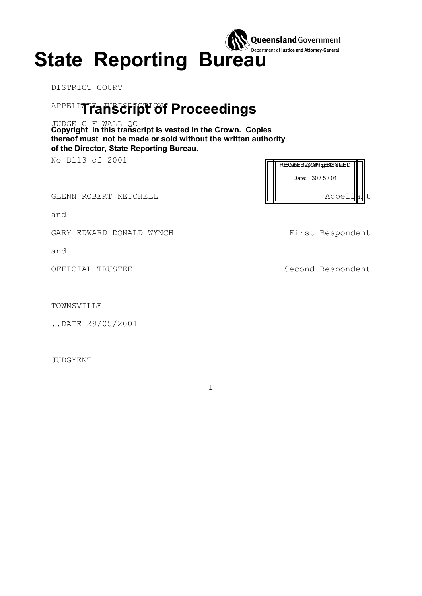

DISTRICT COURT

# <sup>APPELLI</sup>TTanscript of Proceedings

**Copyright in this transcript is vested in the Crown. Copies**  JUDGE C F WALL QC **thereof must not be made or sold without the written authority of the Director, State Reporting Bureau.**

No D113 of 2001

GLENN ROBERT KETCHELL **Appellant** 

and

GARY EDWARD DONALD WYNCH GARY First Respondent

and

TOWNSVILLE

..DATE 29/05/2001

JUDGMENT

RES/ISSE Beporting BuseburD Date: 30 / 5 / 01

OFFICIAL TRUSTEE Second Respondent

1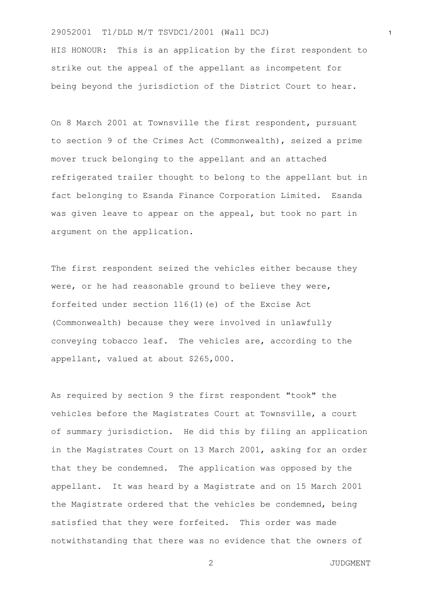HIS HONOUR: This is an application by the first respondent to strike out the appeal of the appellant as incompetent for being beyond the jurisdiction of the District Court to hear.

On 8 March 2001 at Townsville the first respondent, pursuant to section 9 of the Crimes Act (Commonwealth), seized a prime mover truck belonging to the appellant and an attached refrigerated trailer thought to belong to the appellant but in fact belonging to Esanda Finance Corporation Limited. Esanda was given leave to appear on the appeal, but took no part in argument on the application.

The first respondent seized the vehicles either because they were, or he had reasonable ground to believe they were, forfeited under section 116(1)(e) of the Excise Act (Commonwealth) because they were involved in unlawfully conveying tobacco leaf. The vehicles are, according to the appellant, valued at about \$265,000.

As required by section 9 the first respondent "took" the vehicles before the Magistrates Court at Townsville, a court of summary jurisdiction. He did this by filing an application in the Magistrates Court on 13 March 2001, asking for an order that they be condemned. The application was opposed by the appellant. It was heard by a Magistrate and on 15 March 2001 the Magistrate ordered that the vehicles be condemned, being satisfied that they were forfeited. This order was made notwithstanding that there was no evidence that the owners of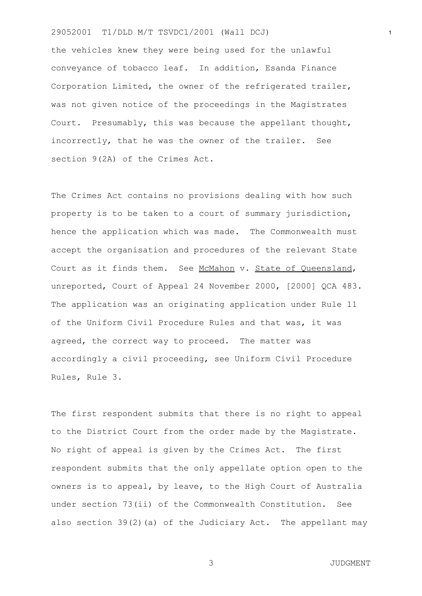the vehicles knew they were being used for the unlawful conveyance of tobacco leaf. In addition, Esanda Finance Corporation Limited, the owner of the refrigerated trailer, was not given notice of the proceedings in the Magistrates Court. Presumably, this was because the appellant thought, incorrectly, that he was the owner of the trailer. See section 9(2A) of the Crimes Act.

The Crimes Act contains no provisions dealing with how such property is to be taken to a court of summary jurisdiction, hence the application which was made. The Commonwealth must accept the organisation and procedures of the relevant State Court as it finds them. See McMahon v. State of Queensland, unreported, Court of Appeal 24 November 2000, [2000] QCA 483. The application was an originating application under Rule 11 of the Uniform Civil Procedure Rules and that was, it was agreed, the correct way to proceed. The matter was accordingly a civil proceeding, see Uniform Civil Procedure Rules, Rule 3.

The first respondent submits that there is no right to appeal to the District Court from the order made by the Magistrate. No right of appeal is given by the Crimes Act. The first respondent submits that the only appellate option open to the owners is to appeal, by leave, to the High Court of Australia under section 73(ii) of the Commonwealth Constitution. See also section 39(2)(a) of the Judiciary Act. The appellant may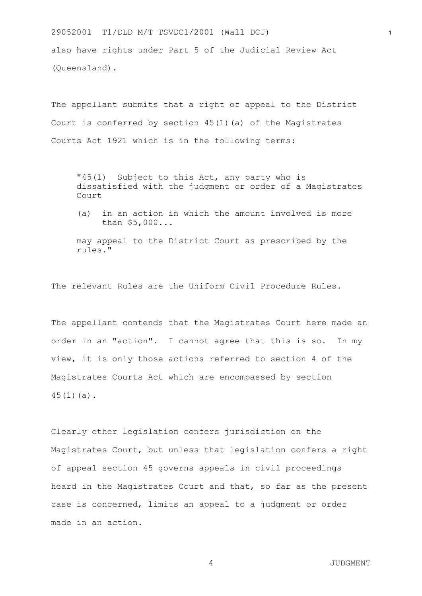also have rights under Part 5 of the Judicial Review Act (Queensland).

The appellant submits that a right of appeal to the District Court is conferred by section  $45(1)(a)$  of the Magistrates Courts Act 1921 which is in the following terms:

"45(1) Subject to this Act, any party who is dissatisfied with the judgment or order of a Magistrates Court

(a) in an action in which the amount involved is more than \$5,000...

may appeal to the District Court as prescribed by the rules."

The relevant Rules are the Uniform Civil Procedure Rules.

The appellant contends that the Magistrates Court here made an order in an "action". I cannot agree that this is so. In my view, it is only those actions referred to section 4 of the Magistrates Courts Act which are encompassed by section 45(1)(a).

Clearly other legislation confers jurisdiction on the Magistrates Court, but unless that legislation confers a right of appeal section 45 governs appeals in civil proceedings heard in the Magistrates Court and that, so far as the present case is concerned, limits an appeal to a judgment or order made in an action.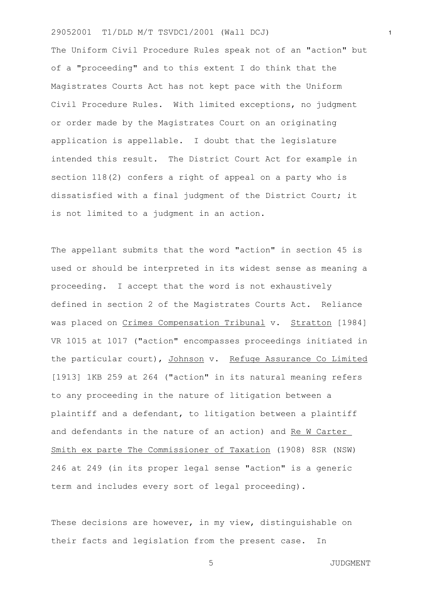The Uniform Civil Procedure Rules speak not of an "action" but of a "proceeding" and to this extent I do think that the Magistrates Courts Act has not kept pace with the Uniform Civil Procedure Rules. With limited exceptions, no judgment or order made by the Magistrates Court on an originating application is appellable. I doubt that the legislature intended this result. The District Court Act for example in section 118(2) confers a right of appeal on a party who is dissatisfied with a final judgment of the District Court; it is not limited to a judgment in an action.

The appellant submits that the word "action" in section 45 is used or should be interpreted in its widest sense as meaning a proceeding. I accept that the word is not exhaustively defined in section 2 of the Magistrates Courts Act. Reliance was placed on Crimes Compensation Tribunal v. Stratton [1984] VR 1015 at 1017 ("action" encompasses proceedings initiated in the particular court), Johnson v. Refuge Assurance Co Limited [1913] 1KB 259 at 264 ("action" in its natural meaning refers to any proceeding in the nature of litigation between a plaintiff and a defendant, to litigation between a plaintiff and defendants in the nature of an action) and Re W Carter Smith ex parte The Commissioner of Taxation (1908) 8SR (NSW) 246 at 249 (in its proper legal sense "action" is a generic term and includes every sort of legal proceeding).

These decisions are however, in my view, distinguishable on their facts and legislation from the present case. In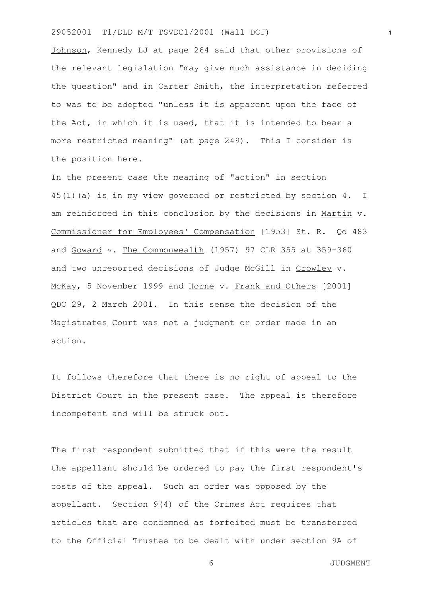Johnson, Kennedy LJ at page 264 said that other provisions of the relevant legislation "may give much assistance in deciding the question" and in Carter Smith, the interpretation referred to was to be adopted "unless it is apparent upon the face of the Act, in which it is used, that it is intended to bear a more restricted meaning" (at page 249). This I consider is the position here.

In the present case the meaning of "action" in section 45(1)(a) is in my view governed or restricted by section 4. I am reinforced in this conclusion by the decisions in Martin v. Commissioner for Employees' Compensation [1953] St. R. Qd 483 and Goward v. The Commonwealth (1957) 97 CLR 355 at 359-360 and two unreported decisions of Judge McGill in Crowley v. McKay, 5 November 1999 and Horne v. Frank and Others [2001] QDC 29, 2 March 2001. In this sense the decision of the Magistrates Court was not a judgment or order made in an action.

It follows therefore that there is no right of appeal to the District Court in the present case. The appeal is therefore incompetent and will be struck out.

The first respondent submitted that if this were the result the appellant should be ordered to pay the first respondent's costs of the appeal. Such an order was opposed by the appellant. Section 9(4) of the Crimes Act requires that articles that are condemned as forfeited must be transferred to the Official Trustee to be dealt with under section 9A of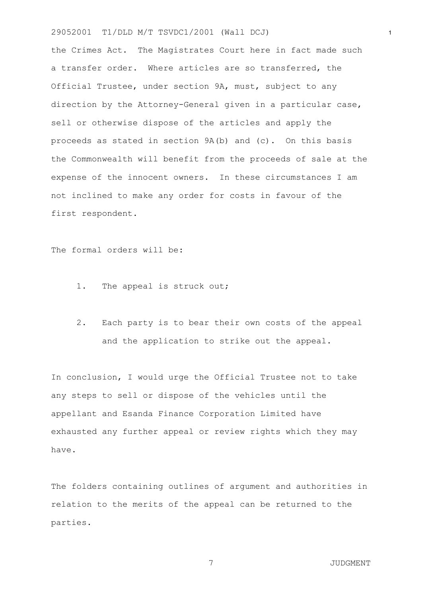the Crimes Act. The Magistrates Court here in fact made such a transfer order. Where articles are so transferred, the Official Trustee, under section 9A, must, subject to any direction by the Attorney-General given in a particular case, sell or otherwise dispose of the articles and apply the proceeds as stated in section 9A(b) and (c). On this basis the Commonwealth will benefit from the proceeds of sale at the expense of the innocent owners. In these circumstances I am not inclined to make any order for costs in favour of the first respondent.

The formal orders will be:

- 1. The appeal is struck out;
- 2. Each party is to bear their own costs of the appeal and the application to strike out the appeal.

In conclusion, I would urge the Official Trustee not to take any steps to sell or dispose of the vehicles until the appellant and Esanda Finance Corporation Limited have exhausted any further appeal or review rights which they may have.

The folders containing outlines of argument and authorities in relation to the merits of the appeal can be returned to the parties.